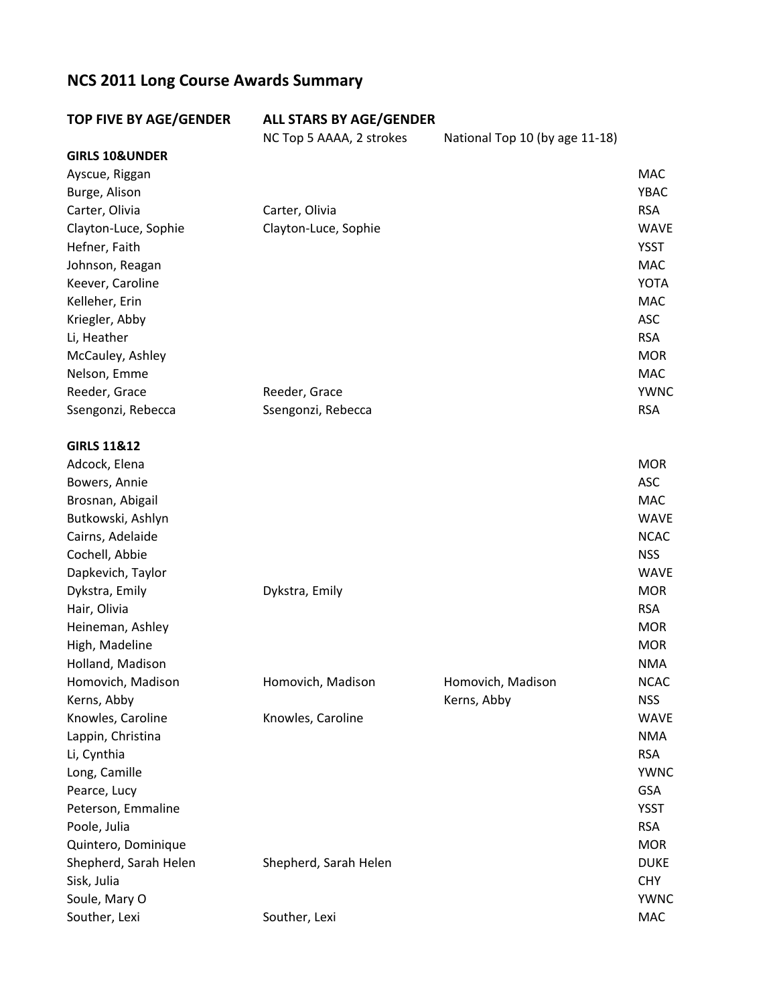## **NCS 2011 Long Course Awards Summary**

| <b>TOP FIVE BY AGE/GENDER</b> | <b>ALL STARS BY AGE/GENDER</b> |                                |             |
|-------------------------------|--------------------------------|--------------------------------|-------------|
|                               | NC Top 5 AAAA, 2 strokes       | National Top 10 (by age 11-18) |             |
| <b>GIRLS 10&amp;UNDER</b>     |                                |                                |             |
| Ayscue, Riggan                |                                |                                | <b>MAC</b>  |
| Burge, Alison                 |                                |                                | <b>YBAC</b> |
| Carter, Olivia                | Carter, Olivia                 |                                | <b>RSA</b>  |
| Clayton-Luce, Sophie          | Clayton-Luce, Sophie           |                                | <b>WAVE</b> |
| Hefner, Faith                 |                                |                                | <b>YSST</b> |
| Johnson, Reagan               |                                |                                | <b>MAC</b>  |
| Keever, Caroline              |                                |                                | <b>YOTA</b> |
| Kelleher, Erin                |                                |                                | <b>MAC</b>  |
| Kriegler, Abby                |                                |                                | <b>ASC</b>  |
| Li, Heather                   |                                |                                | <b>RSA</b>  |
| McCauley, Ashley              |                                |                                | <b>MOR</b>  |
| Nelson, Emme                  |                                |                                | <b>MAC</b>  |
| Reeder, Grace                 | Reeder, Grace                  |                                | <b>YWNC</b> |
| Ssengonzi, Rebecca            | Ssengonzi, Rebecca             |                                | <b>RSA</b>  |
| <b>GIRLS 11&amp;12</b>        |                                |                                |             |
| Adcock, Elena                 |                                |                                | <b>MOR</b>  |
| Bowers, Annie                 |                                |                                | <b>ASC</b>  |
| Brosnan, Abigail              |                                |                                | MAC         |
| Butkowski, Ashlyn             |                                |                                | <b>WAVE</b> |
| Cairns, Adelaide              |                                |                                | <b>NCAC</b> |
| Cochell, Abbie                |                                |                                | <b>NSS</b>  |
| Dapkevich, Taylor             |                                |                                | <b>WAVE</b> |
| Dykstra, Emily                | Dykstra, Emily                 |                                | <b>MOR</b>  |
| Hair, Olivia                  |                                |                                | <b>RSA</b>  |
| Heineman, Ashley              |                                |                                | <b>MOR</b>  |
| High, Madeline                |                                |                                | <b>MOR</b>  |
| Holland, Madison              |                                |                                | <b>NMA</b>  |
| Homovich, Madison             | Homovich, Madison              | Homovich, Madison              | <b>NCAC</b> |
| Kerns, Abby                   |                                | Kerns, Abby                    | <b>NSS</b>  |
| Knowles, Caroline             | Knowles, Caroline              |                                | <b>WAVE</b> |
| Lappin, Christina             |                                |                                | <b>NMA</b>  |
| Li, Cynthia                   |                                |                                | <b>RSA</b>  |
| Long, Camille                 |                                |                                | <b>YWNC</b> |
| Pearce, Lucy                  |                                |                                | <b>GSA</b>  |
| Peterson, Emmaline            |                                |                                | <b>YSST</b> |
| Poole, Julia                  |                                |                                | <b>RSA</b>  |
| Quintero, Dominique           |                                |                                | <b>MOR</b>  |
| Shepherd, Sarah Helen         | Shepherd, Sarah Helen          |                                | <b>DUKE</b> |
| Sisk, Julia                   |                                |                                | <b>CHY</b>  |
| Soule, Mary O                 |                                |                                | <b>YWNC</b> |
| Souther, Lexi                 | Souther, Lexi                  |                                | MAC         |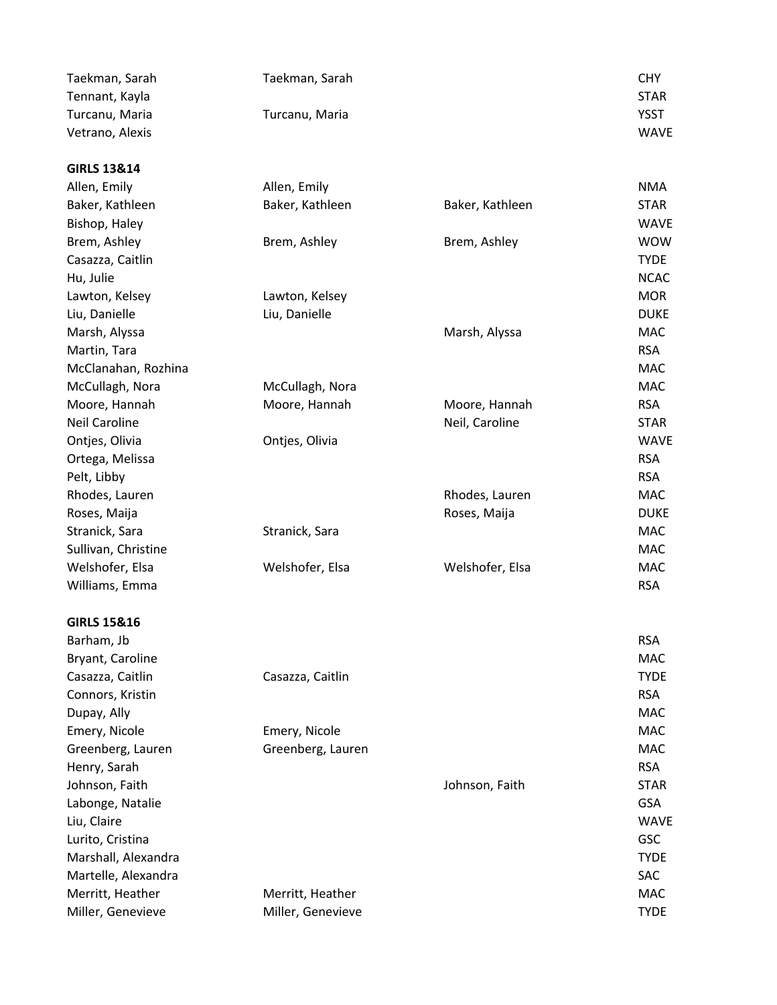| Taekman, Sarah<br>Taekman, Sarah                      | <b>CHY</b>                 |
|-------------------------------------------------------|----------------------------|
| Tennant, Kayla                                        | <b>STAR</b><br><b>YSST</b> |
| Turcanu, Maria<br>Turcanu, Maria<br>Vetrano, Alexis   | <b>WAVE</b>                |
|                                                       |                            |
| <b>GIRLS 13&amp;14</b>                                |                            |
| Allen, Emily<br>Allen, Emily                          | <b>NMA</b>                 |
| Baker, Kathleen<br>Baker, Kathleen<br>Baker, Kathleen | <b>STAR</b>                |
| Bishop, Haley                                         | <b>WAVE</b>                |
| Brem, Ashley<br>Brem, Ashley<br>Brem, Ashley          | <b>WOW</b>                 |
| Casazza, Caitlin                                      | <b>TYDE</b>                |
| Hu, Julie                                             | <b>NCAC</b>                |
| Lawton, Kelsey<br>Lawton, Kelsey                      | <b>MOR</b>                 |
| Liu, Danielle<br>Liu, Danielle                        | <b>DUKE</b>                |
| Marsh, Alyssa<br>Marsh, Alyssa                        | <b>MAC</b>                 |
| Martin, Tara                                          | <b>RSA</b>                 |
| McClanahan, Rozhina                                   | <b>MAC</b>                 |
| McCullagh, Nora<br>McCullagh, Nora                    | <b>MAC</b>                 |
| Moore, Hannah<br>Moore, Hannah<br>Moore, Hannah       | <b>RSA</b>                 |
| <b>Neil Caroline</b><br>Neil, Caroline                | <b>STAR</b>                |
| Ontjes, Olivia<br>Ontjes, Olivia                      | <b>WAVE</b>                |
| Ortega, Melissa                                       | <b>RSA</b>                 |
| Pelt, Libby                                           | <b>RSA</b>                 |
| Rhodes, Lauren<br>Rhodes, Lauren                      | <b>MAC</b>                 |
| Roses, Maija<br>Roses, Maija                          | <b>DUKE</b>                |
| Stranick, Sara<br>Stranick, Sara                      | <b>MAC</b>                 |
| Sullivan, Christine                                   | <b>MAC</b>                 |
| Welshofer, Elsa<br>Welshofer, Elsa<br>Welshofer, Elsa | <b>MAC</b>                 |
| Williams, Emma                                        | <b>RSA</b>                 |
| <b>GIRLS 15&amp;16</b>                                |                            |
| Barham, Jb                                            | <b>RSA</b>                 |
| Bryant, Caroline                                      | <b>MAC</b>                 |
| Casazza, Caitlin<br>Casazza, Caitlin                  | <b>TYDE</b>                |
| Connors, Kristin                                      | <b>RSA</b>                 |
| Dupay, Ally                                           | <b>MAC</b>                 |
| Emery, Nicole<br>Emery, Nicole                        | <b>MAC</b>                 |
| Greenberg, Lauren<br>Greenberg, Lauren                | <b>MAC</b>                 |
| Henry, Sarah                                          | <b>RSA</b>                 |
| Johnson, Faith<br>Johnson, Faith                      | <b>STAR</b>                |
| Labonge, Natalie                                      | <b>GSA</b>                 |
| Liu, Claire                                           | <b>WAVE</b>                |
| Lurito, Cristina                                      | <b>GSC</b>                 |
| Marshall, Alexandra                                   | <b>TYDE</b>                |
| Martelle, Alexandra                                   | SAC                        |
| Merritt, Heather<br>Merritt, Heather                  |                            |
|                                                       | MAC                        |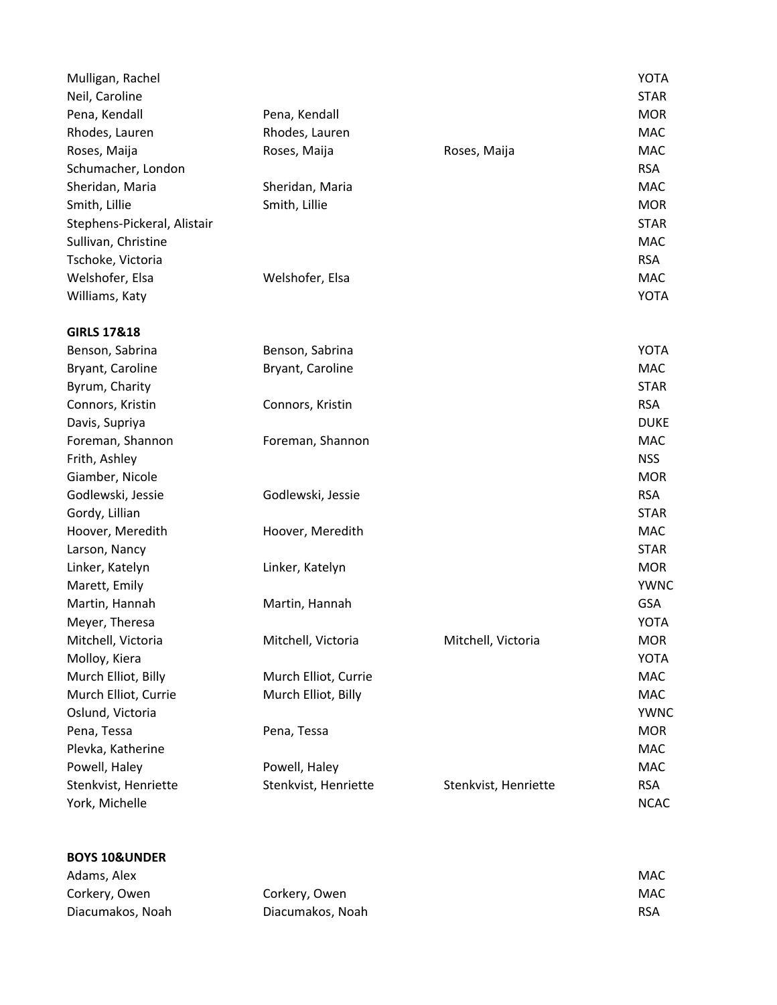| Mulligan, Rachel            |                      |                      | <b>YOTA</b> |
|-----------------------------|----------------------|----------------------|-------------|
| Neil, Caroline              |                      |                      | <b>STAR</b> |
| Pena, Kendall               | Pena, Kendall        |                      | <b>MOR</b>  |
| Rhodes, Lauren              | Rhodes, Lauren       |                      | <b>MAC</b>  |
| Roses, Maija                | Roses, Maija         | Roses, Maija         | <b>MAC</b>  |
| Schumacher, London          |                      |                      | <b>RSA</b>  |
| Sheridan, Maria             | Sheridan, Maria      |                      | <b>MAC</b>  |
| Smith, Lillie               | Smith, Lillie        |                      | <b>MOR</b>  |
| Stephens-Pickeral, Alistair |                      |                      | <b>STAR</b> |
| Sullivan, Christine         |                      |                      | <b>MAC</b>  |
| Tschoke, Victoria           |                      |                      | <b>RSA</b>  |
| Welshofer, Elsa             | Welshofer, Elsa      |                      | <b>MAC</b>  |
| Williams, Katy              |                      |                      | <b>YOTA</b> |
| <b>GIRLS 17&amp;18</b>      |                      |                      |             |
| Benson, Sabrina             | Benson, Sabrina      |                      | <b>YOTA</b> |
| Bryant, Caroline            | Bryant, Caroline     |                      | <b>MAC</b>  |
| Byrum, Charity              |                      |                      | <b>STAR</b> |
| Connors, Kristin            | Connors, Kristin     |                      | <b>RSA</b>  |
| Davis, Supriya              |                      |                      | <b>DUKE</b> |
| Foreman, Shannon            | Foreman, Shannon     |                      | <b>MAC</b>  |
| Frith, Ashley               |                      |                      | <b>NSS</b>  |
| Giamber, Nicole             |                      |                      | <b>MOR</b>  |
| Godlewski, Jessie           | Godlewski, Jessie    |                      | <b>RSA</b>  |
| Gordy, Lillian              |                      |                      | <b>STAR</b> |
| Hoover, Meredith            | Hoover, Meredith     |                      | <b>MAC</b>  |
| Larson, Nancy               |                      |                      | <b>STAR</b> |
| Linker, Katelyn             | Linker, Katelyn      |                      | <b>MOR</b>  |
| Marett, Emily               |                      |                      | <b>YWNC</b> |
| Martin, Hannah              | Martin, Hannah       |                      | <b>GSA</b>  |
| Meyer, Theresa              |                      |                      | <b>YOTA</b> |
| Mitchell, Victoria          | Mitchell, Victoria   | Mitchell, Victoria   | <b>MOR</b>  |
| Molloy, Kiera               |                      |                      | <b>YOTA</b> |
| Murch Elliot, Billy         | Murch Elliot, Currie |                      | MAC         |
| Murch Elliot, Currie        | Murch Elliot, Billy  |                      | MAC         |
| Oslund, Victoria            |                      |                      | <b>YWNC</b> |
| Pena, Tessa                 | Pena, Tessa          |                      | <b>MOR</b>  |
| Plevka, Katherine           |                      |                      | MAC         |
| Powell, Haley               | Powell, Haley        |                      | <b>MAC</b>  |
| Stenkvist, Henriette        | Stenkvist, Henriette | Stenkvist, Henriette | <b>RSA</b>  |
| York, Michelle              |                      |                      | <b>NCAC</b> |

| Adams, Alex      |                  | MAC        |
|------------------|------------------|------------|
| Corkery, Owen    | Corkery, Owen    | <b>MAC</b> |
| Diacumakos, Noah | Diacumakos, Noah | <b>RSA</b> |

**BOYS 10&UNDER**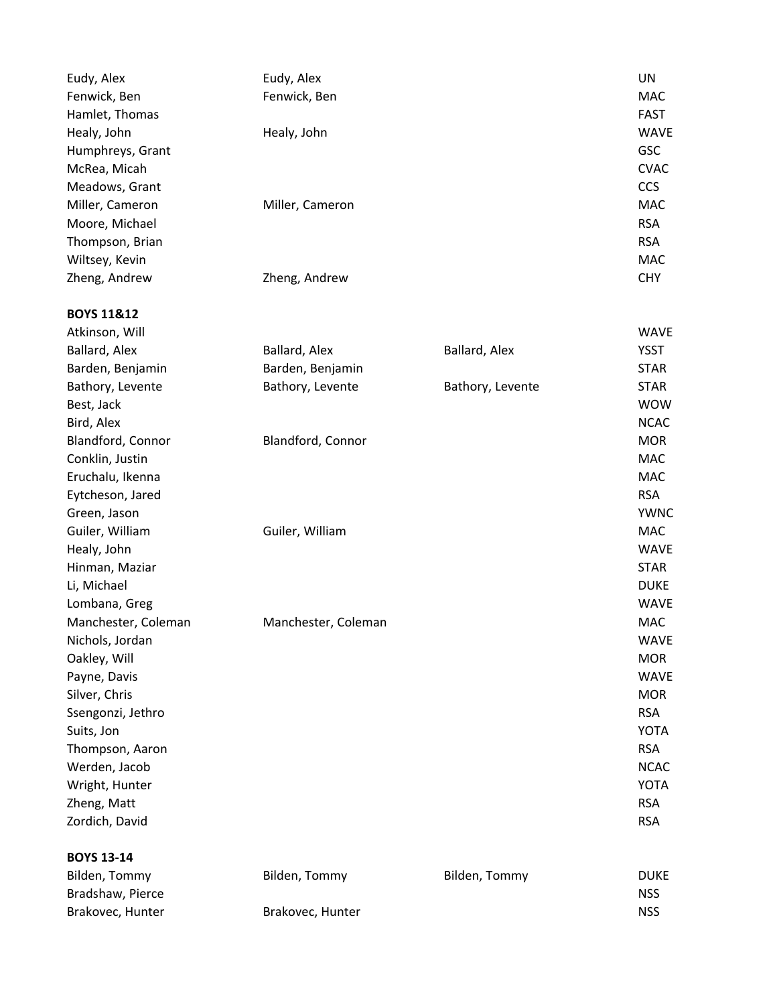| Eudy, Alex            | Eudy, Alex          |                  | UN          |
|-----------------------|---------------------|------------------|-------------|
| Fenwick, Ben          | Fenwick, Ben        |                  | <b>MAC</b>  |
| Hamlet, Thomas        |                     |                  | <b>FAST</b> |
| Healy, John           | Healy, John         |                  | <b>WAVE</b> |
| Humphreys, Grant      |                     |                  | GSC         |
| McRea, Micah          |                     |                  | <b>CVAC</b> |
| Meadows, Grant        |                     |                  | <b>CCS</b>  |
| Miller, Cameron       | Miller, Cameron     |                  | <b>MAC</b>  |
| Moore, Michael        |                     |                  | <b>RSA</b>  |
| Thompson, Brian       |                     |                  | <b>RSA</b>  |
| Wiltsey, Kevin        |                     |                  | <b>MAC</b>  |
| Zheng, Andrew         | Zheng, Andrew       |                  | <b>CHY</b>  |
| <b>BOYS 11&amp;12</b> |                     |                  |             |
| Atkinson, Will        |                     |                  | <b>WAVE</b> |
| Ballard, Alex         | Ballard, Alex       | Ballard, Alex    | <b>YSST</b> |
| Barden, Benjamin      | Barden, Benjamin    |                  | <b>STAR</b> |
| Bathory, Levente      | Bathory, Levente    | Bathory, Levente | <b>STAR</b> |
| Best, Jack            |                     |                  | <b>WOW</b>  |
| Bird, Alex            |                     |                  | <b>NCAC</b> |
| Blandford, Connor     | Blandford, Connor   |                  | <b>MOR</b>  |
| Conklin, Justin       |                     |                  | <b>MAC</b>  |
| Eruchalu, Ikenna      |                     |                  | <b>MAC</b>  |
| Eytcheson, Jared      |                     |                  | <b>RSA</b>  |
| Green, Jason          |                     |                  | <b>YWNC</b> |
| Guiler, William       | Guiler, William     |                  | <b>MAC</b>  |
| Healy, John           |                     |                  | <b>WAVE</b> |
| Hinman, Maziar        |                     |                  | <b>STAR</b> |
| Li, Michael           |                     |                  | <b>DUKE</b> |
| Lombana, Greg         |                     |                  | <b>WAVE</b> |
| Manchester, Coleman   | Manchester, Coleman |                  | <b>MAC</b>  |
| Nichols, Jordan       |                     |                  | <b>WAVE</b> |
| Oakley, Will          |                     |                  | <b>MOR</b>  |
| Payne, Davis          |                     |                  | <b>WAVE</b> |
| Silver, Chris         |                     |                  | <b>MOR</b>  |
| Ssengonzi, Jethro     |                     |                  | <b>RSA</b>  |
| Suits, Jon            |                     |                  | <b>YOTA</b> |
| Thompson, Aaron       |                     |                  | <b>RSA</b>  |
| Werden, Jacob         |                     |                  | <b>NCAC</b> |
| Wright, Hunter        |                     |                  | <b>YOTA</b> |
| Zheng, Matt           |                     |                  | <b>RSA</b>  |
| Zordich, David        |                     |                  | <b>RSA</b>  |
| <b>BOYS 13-14</b>     |                     |                  |             |
| Bilden, Tommy         | Bilden, Tommy       | Bilden, Tommy    | <b>DUKE</b> |
| Bradshaw, Pierce      |                     |                  | <b>NSS</b>  |
| Brakovec, Hunter      | Brakovec, Hunter    |                  | <b>NSS</b>  |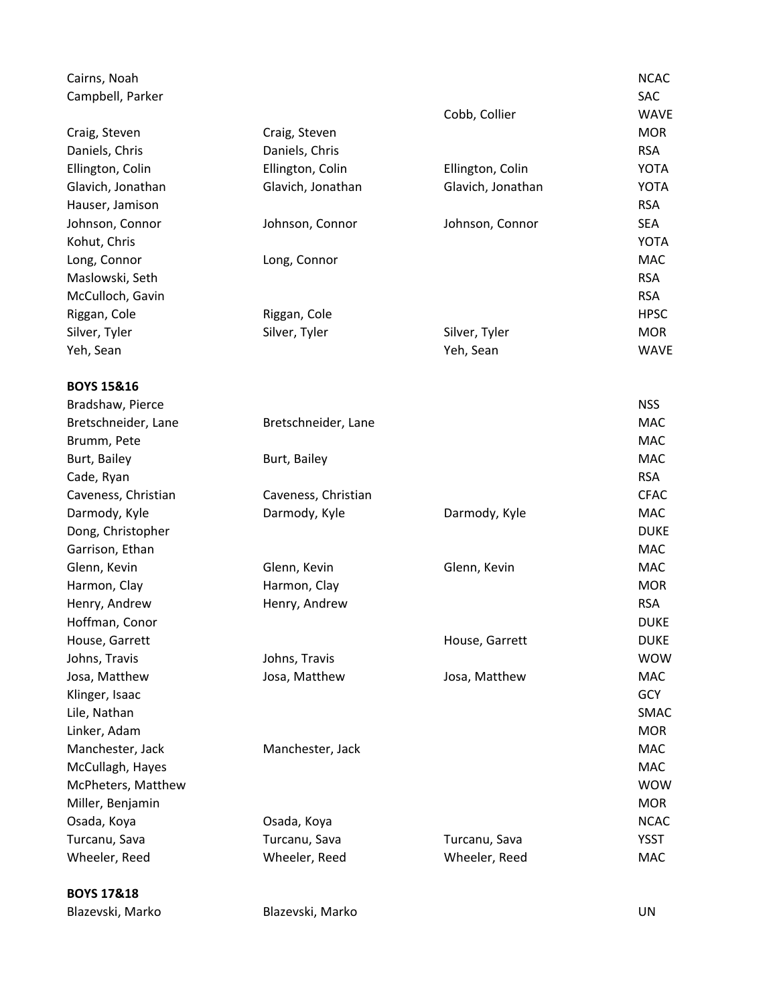| Cairns, Noah<br>Campbell, Parker |                     |                   | <b>NCAC</b><br><b>SAC</b> |
|----------------------------------|---------------------|-------------------|---------------------------|
|                                  |                     | Cobb, Collier     | <b>WAVE</b>               |
| Craig, Steven                    | Craig, Steven       |                   | <b>MOR</b>                |
| Daniels, Chris                   | Daniels, Chris      |                   | <b>RSA</b>                |
| Ellington, Colin                 | Ellington, Colin    | Ellington, Colin  | <b>YOTA</b>               |
| Glavich, Jonathan                | Glavich, Jonathan   | Glavich, Jonathan | <b>YOTA</b>               |
| Hauser, Jamison                  |                     |                   | <b>RSA</b>                |
| Johnson, Connor                  | Johnson, Connor     | Johnson, Connor   | <b>SEA</b>                |
| Kohut, Chris                     |                     |                   | <b>YOTA</b>               |
| Long, Connor                     | Long, Connor        |                   | <b>MAC</b>                |
| Maslowski, Seth                  |                     |                   | <b>RSA</b>                |
| McCulloch, Gavin                 |                     |                   | <b>RSA</b>                |
| Riggan, Cole                     | Riggan, Cole        |                   | <b>HPSC</b>               |
| Silver, Tyler                    | Silver, Tyler       | Silver, Tyler     | <b>MOR</b>                |
| Yeh, Sean                        |                     | Yeh, Sean         | <b>WAVE</b>               |
| <b>BOYS 15&amp;16</b>            |                     |                   |                           |
| Bradshaw, Pierce                 |                     |                   | <b>NSS</b>                |
| Bretschneider, Lane              | Bretschneider, Lane |                   | <b>MAC</b>                |
| Brumm, Pete                      |                     |                   | <b>MAC</b>                |
| Burt, Bailey                     | Burt, Bailey        |                   | <b>MAC</b>                |
| Cade, Ryan                       |                     |                   | <b>RSA</b>                |
| Caveness, Christian              | Caveness, Christian |                   | <b>CFAC</b>               |
| Darmody, Kyle                    | Darmody, Kyle       | Darmody, Kyle     | <b>MAC</b>                |
| Dong, Christopher                |                     |                   | <b>DUKE</b>               |
| Garrison, Ethan                  |                     |                   | <b>MAC</b>                |
| Glenn, Kevin                     | Glenn, Kevin        | Glenn, Kevin      | <b>MAC</b>                |
| Harmon, Clay                     | Harmon, Clay        |                   | <b>MOR</b>                |
| Henry, Andrew                    | Henry, Andrew       |                   | <b>RSA</b>                |
| Hoffman, Conor                   |                     |                   | <b>DUKE</b>               |
| House, Garrett                   |                     | House, Garrett    | <b>DUKE</b>               |
| Johns, Travis                    | Johns, Travis       |                   | <b>WOW</b>                |
| Josa, Matthew                    | Josa, Matthew       | Josa, Matthew     | MAC                       |
| Klinger, Isaac                   |                     |                   | <b>GCY</b>                |
| Lile, Nathan                     |                     |                   | SMAC                      |
| Linker, Adam                     |                     |                   | <b>MOR</b>                |
| Manchester, Jack                 | Manchester, Jack    |                   | MAC                       |
| McCullagh, Hayes                 |                     |                   | MAC                       |
| McPheters, Matthew               |                     |                   | <b>WOW</b>                |
| Miller, Benjamin                 |                     |                   | <b>MOR</b>                |
| Osada, Koya                      | Osada, Koya         |                   | <b>NCAC</b>               |
| Turcanu, Sava                    | Turcanu, Sava       | Turcanu, Sava     | <b>YSST</b>               |
| Wheeler, Reed                    | Wheeler, Reed       | Wheeler, Reed     | MAC                       |
| <b>BOYS 17&amp;18</b>            |                     |                   |                           |

Blazevski, Marko Blazevski, Marko UN